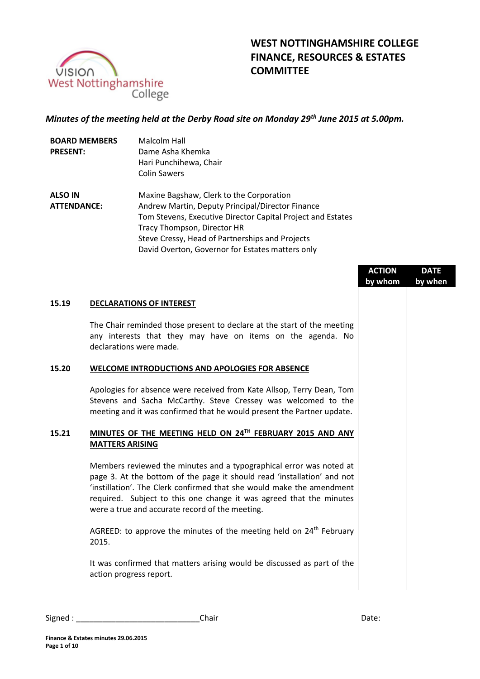

# **WEST NOTTINGHAMSHIRE COLLEGE FINANCE, RESOURCES & ESTATES COMMITTEE**

## *Minutes of the meeting held at the Derby Road site on Monday 29th June 2015 at 5.00pm.*

| <b>BOARD MEMBERS</b> | <b>Malcolm Hall</b>                                         |
|----------------------|-------------------------------------------------------------|
| <b>PRESENT:</b>      | Dame Asha Khemka                                            |
|                      | Hari Punchihewa, Chair                                      |
|                      | <b>Colin Sawers</b>                                         |
| <b>ALSO IN</b>       | Maxine Bagshaw, Clerk to the Corporation                    |
| <b>ATTENDANCE:</b>   | Andrew Martin, Deputy Principal/Director Finance            |
|                      | Tom Stevens, Executive Director Capital Project and Estates |
|                      | Tracy Thompson, Director HR                                 |
|                      | Steve Cressy, Head of Partnerships and Projects             |
|                      | David Overton, Governor for Estates matters only            |

|       |                                                                                                                                                                                                                                                                                                                                                   | <b>ACTION</b> | <b>DATE</b> |
|-------|---------------------------------------------------------------------------------------------------------------------------------------------------------------------------------------------------------------------------------------------------------------------------------------------------------------------------------------------------|---------------|-------------|
|       |                                                                                                                                                                                                                                                                                                                                                   | by whom       | by when     |
| 15.19 | <b>DECLARATIONS OF INTEREST</b>                                                                                                                                                                                                                                                                                                                   |               |             |
|       | The Chair reminded those present to declare at the start of the meeting<br>any interests that they may have on items on the agenda. No<br>declarations were made.                                                                                                                                                                                 |               |             |
| 15.20 | WELCOME INTRODUCTIONS AND APOLOGIES FOR ABSENCE                                                                                                                                                                                                                                                                                                   |               |             |
|       | Apologies for absence were received from Kate Allsop, Terry Dean, Tom<br>Stevens and Sacha McCarthy. Steve Cressey was welcomed to the<br>meeting and it was confirmed that he would present the Partner update.                                                                                                                                  |               |             |
| 15.21 | MINUTES OF THE MEETING HELD ON 24TH FEBRUARY 2015 AND ANY<br><b>MATTERS ARISING</b>                                                                                                                                                                                                                                                               |               |             |
|       | Members reviewed the minutes and a typographical error was noted at<br>page 3. At the bottom of the page it should read 'installation' and not<br>'instillation'. The Clerk confirmed that she would make the amendment<br>required. Subject to this one change it was agreed that the minutes<br>were a true and accurate record of the meeting. |               |             |
|       | AGREED: to approve the minutes of the meeting held on 24 <sup>th</sup> February<br>2015.                                                                                                                                                                                                                                                          |               |             |
|       | It was confirmed that matters arising would be discussed as part of the<br>action progress report.                                                                                                                                                                                                                                                |               |             |
|       |                                                                                                                                                                                                                                                                                                                                                   |               |             |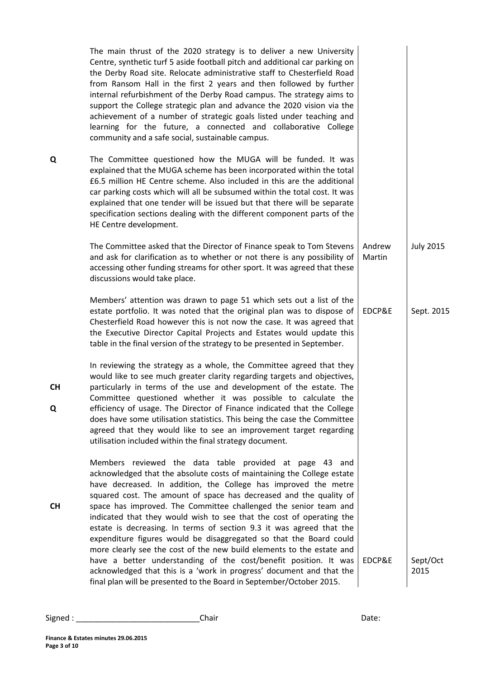|                | The main thrust of the 2020 strategy is to deliver a new University<br>Centre, synthetic turf 5 aside football pitch and additional car parking on<br>the Derby Road site. Relocate administrative staff to Chesterfield Road<br>from Ransom Hall in the first 2 years and then followed by further<br>internal refurbishment of the Derby Road campus. The strategy aims to<br>support the College strategic plan and advance the 2020 vision via the<br>achievement of a number of strategic goals listed under teaching and<br>learning for the future, a connected and collaborative College<br>community and a safe social, sustainable campus.                                                                                                                                                                                                              |                  |                  |
|----------------|-------------------------------------------------------------------------------------------------------------------------------------------------------------------------------------------------------------------------------------------------------------------------------------------------------------------------------------------------------------------------------------------------------------------------------------------------------------------------------------------------------------------------------------------------------------------------------------------------------------------------------------------------------------------------------------------------------------------------------------------------------------------------------------------------------------------------------------------------------------------|------------------|------------------|
| Q              | The Committee questioned how the MUGA will be funded. It was<br>explained that the MUGA scheme has been incorporated within the total<br>£6.5 million HE Centre scheme. Also included in this are the additional<br>car parking costs which will all be subsumed within the total cost. It was<br>explained that one tender will be issued but that there will be separate<br>specification sections dealing with the different component parts of the<br>HE Centre development.                                                                                                                                                                                                                                                                                                                                                                                  |                  |                  |
|                | The Committee asked that the Director of Finance speak to Tom Stevens<br>and ask for clarification as to whether or not there is any possibility of<br>accessing other funding streams for other sport. It was agreed that these<br>discussions would take place.                                                                                                                                                                                                                                                                                                                                                                                                                                                                                                                                                                                                 | Andrew<br>Martin | <b>July 2015</b> |
|                | Members' attention was drawn to page 51 which sets out a list of the<br>estate portfolio. It was noted that the original plan was to dispose of<br>Chesterfield Road however this is not now the case. It was agreed that<br>the Executive Director Capital Projects and Estates would update this<br>table in the final version of the strategy to be presented in September.                                                                                                                                                                                                                                                                                                                                                                                                                                                                                    | EDCP&E           | Sept. 2015       |
| <b>CH</b><br>Q | In reviewing the strategy as a whole, the Committee agreed that they<br>would like to see much greater clarity regarding targets and objectives,<br>particularly in terms of the use and development of the estate. The<br>Committee questioned whether it was possible to calculate the<br>efficiency of usage. The Director of Finance indicated that the College<br>does have some utilisation statistics. This being the case the Committee<br>agreed that they would like to see an improvement target regarding<br>utilisation included within the final strategy document.                                                                                                                                                                                                                                                                                 |                  |                  |
| <b>CH</b>      | Members reviewed the data table provided at page 43 and<br>acknowledged that the absolute costs of maintaining the College estate<br>have decreased. In addition, the College has improved the metre<br>squared cost. The amount of space has decreased and the quality of<br>space has improved. The Committee challenged the senior team and<br>indicated that they would wish to see that the cost of operating the<br>estate is decreasing. In terms of section 9.3 it was agreed that the<br>expenditure figures would be disaggregated so that the Board could<br>more clearly see the cost of the new build elements to the estate and<br>have a better understanding of the cost/benefit position. It was<br>acknowledged that this is a 'work in progress' document and that the<br>final plan will be presented to the Board in September/October 2015. | EDCP&E           | Sept/Oct<br>2015 |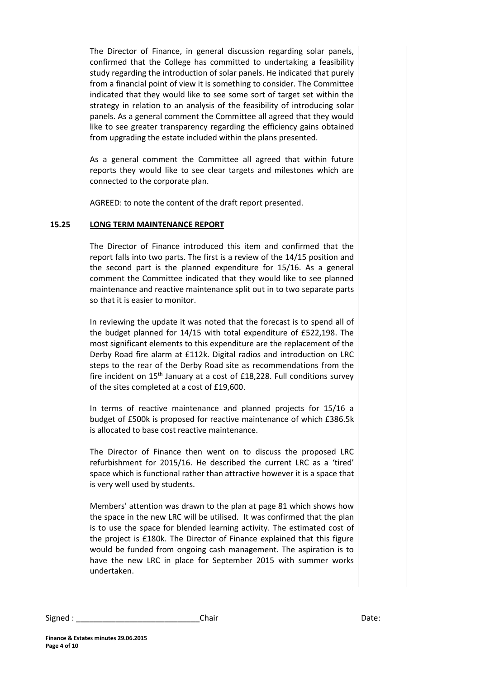The Director of Finance, in general discussion regarding solar panels, confirmed that the College has committed to undertaking a feasibility study regarding the introduction of solar panels. He indicated that purely from a financial point of view it is something to consider. The Committee indicated that they would like to see some sort of target set within the strategy in relation to an analysis of the feasibility of introducing solar panels. As a general comment the Committee all agreed that they would like to see greater transparency regarding the efficiency gains obtained from upgrading the estate included within the plans presented.

As a general comment the Committee all agreed that within future reports they would like to see clear targets and milestones which are connected to the corporate plan.

AGREED: to note the content of the draft report presented.

## **15.25 LONG TERM MAINTENANCE REPORT**

The Director of Finance introduced this item and confirmed that the report falls into two parts. The first is a review of the 14/15 position and the second part is the planned expenditure for 15/16. As a general comment the Committee indicated that they would like to see planned maintenance and reactive maintenance split out in to two separate parts so that it is easier to monitor.

In reviewing the update it was noted that the forecast is to spend all of the budget planned for 14/15 with total expenditure of £522,198. The most significant elements to this expenditure are the replacement of the Derby Road fire alarm at £112k. Digital radios and introduction on LRC steps to the rear of the Derby Road site as recommendations from the fire incident on 15<sup>th</sup> January at a cost of £18,228. Full conditions survey of the sites completed at a cost of £19,600.

In terms of reactive maintenance and planned projects for 15/16 a budget of £500k is proposed for reactive maintenance of which £386.5k is allocated to base cost reactive maintenance.

The Director of Finance then went on to discuss the proposed LRC refurbishment for 2015/16. He described the current LRC as a 'tired' space which is functional rather than attractive however it is a space that is very well used by students.

Members' attention was drawn to the plan at page 81 which shows how the space in the new LRC will be utilised. It was confirmed that the plan is to use the space for blended learning activity. The estimated cost of the project is £180k. The Director of Finance explained that this figure would be funded from ongoing cash management. The aspiration is to have the new LRC in place for September 2015 with summer works undertaken.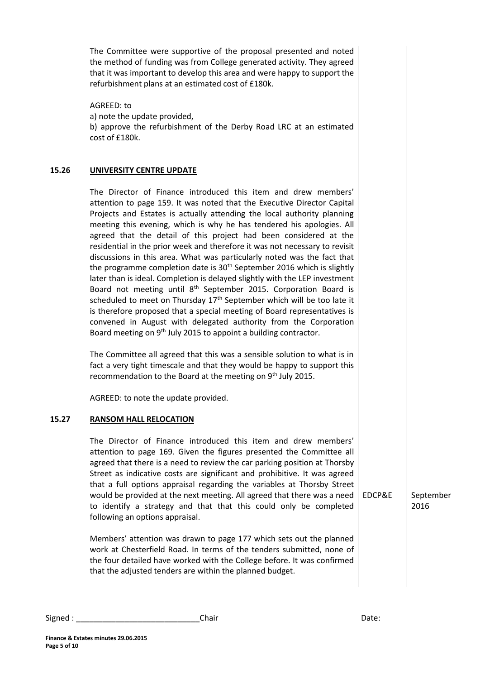The Committee were supportive of the proposal presented and noted the method of funding was from College generated activity. They agreed that it was important to develop this area and were happy to support the refurbishment plans at an estimated cost of £180k.

AGREED: to a) note the update provided, b) approve the refurbishment of the Derby Road LRC at an estimated cost of £180k.

## **15.26 UNIVERSITY CENTRE UPDATE**

The Director of Finance introduced this item and drew members' attention to page 159. It was noted that the Executive Director Capital Projects and Estates is actually attending the local authority planning meeting this evening, which is why he has tendered his apologies. All agreed that the detail of this project had been considered at the residential in the prior week and therefore it was not necessary to revisit discussions in this area. What was particularly noted was the fact that the programme completion date is 30<sup>th</sup> September 2016 which is slightly later than is ideal. Completion is delayed slightly with the LEP investment Board not meeting until 8<sup>th</sup> September 2015. Corporation Board is scheduled to meet on Thursday  $17<sup>th</sup>$  September which will be too late it is therefore proposed that a special meeting of Board representatives is convened in August with delegated authority from the Corporation Board meeting on 9<sup>th</sup> July 2015 to appoint a building contractor.

The Committee all agreed that this was a sensible solution to what is in fact a very tight timescale and that they would be happy to support this recommendation to the Board at the meeting on 9<sup>th</sup> July 2015.

AGREED: to note the update provided.

## **15.27 RANSOM HALL RELOCATION**

The Director of Finance introduced this item and drew members' attention to page 169. Given the figures presented the Committee all agreed that there is a need to review the car parking position at Thorsby Street as indicative costs are significant and prohibitive. It was agreed that a full options appraisal regarding the variables at Thorsby Street would be provided at the next meeting. All agreed that there was a need to identify a strategy and that that this could only be completed following an options appraisal.

Members' attention was drawn to page 177 which sets out the planned work at Chesterfield Road. In terms of the tenders submitted, none of the four detailed have worked with the College before. It was confirmed that the adjusted tenders are within the planned budget.

EDCP&E | September 2016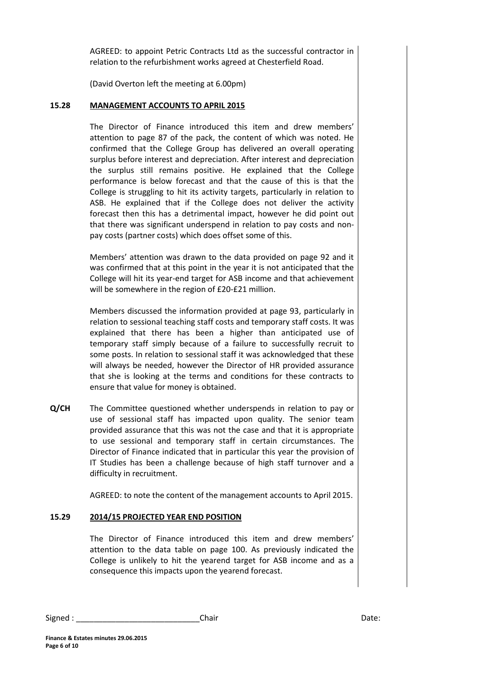AGREED: to appoint Petric Contracts Ltd as the successful contractor in relation to the refurbishment works agreed at Chesterfield Road.

(David Overton left the meeting at 6.00pm)

#### **15.28 MANAGEMENT ACCOUNTS TO APRIL 2015**

The Director of Finance introduced this item and drew members' attention to page 87 of the pack, the content of which was noted. He confirmed that the College Group has delivered an overall operating surplus before interest and depreciation. After interest and depreciation the surplus still remains positive. He explained that the College performance is below forecast and that the cause of this is that the College is struggling to hit its activity targets, particularly in relation to ASB. He explained that if the College does not deliver the activity forecast then this has a detrimental impact, however he did point out that there was significant underspend in relation to pay costs and nonpay costs (partner costs) which does offset some of this.

Members' attention was drawn to the data provided on page 92 and it was confirmed that at this point in the year it is not anticipated that the College will hit its year-end target for ASB income and that achievement will be somewhere in the region of £20-£21 million.

Members discussed the information provided at page 93, particularly in relation to sessional teaching staff costs and temporary staff costs. It was explained that there has been a higher than anticipated use of temporary staff simply because of a failure to successfully recruit to some posts. In relation to sessional staff it was acknowledged that these will always be needed, however the Director of HR provided assurance that she is looking at the terms and conditions for these contracts to ensure that value for money is obtained.

**Q/CH** The Committee questioned whether underspends in relation to pay or use of sessional staff has impacted upon quality. The senior team provided assurance that this was not the case and that it is appropriate to use sessional and temporary staff in certain circumstances. The Director of Finance indicated that in particular this year the provision of IT Studies has been a challenge because of high staff turnover and a difficulty in recruitment.

AGREED: to note the content of the management accounts to April 2015.

## **15.29 2014/15 PROJECTED YEAR END POSITION**

The Director of Finance introduced this item and drew members' attention to the data table on page 100. As previously indicated the College is unlikely to hit the yearend target for ASB income and as a consequence this impacts upon the yearend forecast.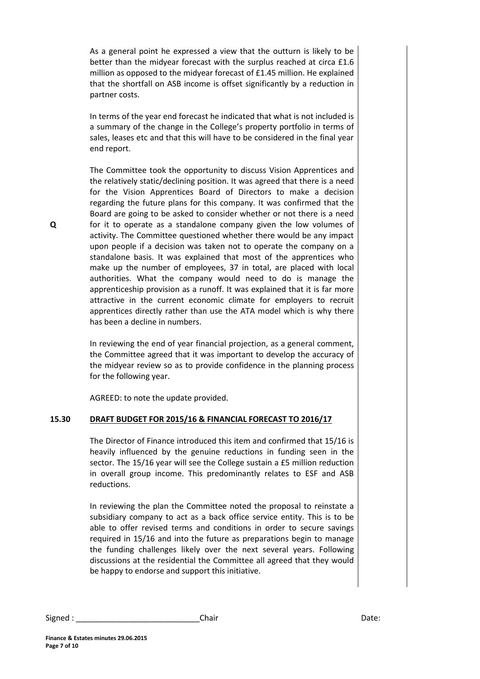As a general point he expressed a view that the outturn is likely to be better than the midyear forecast with the surplus reached at circa £1.6 million as opposed to the midyear forecast of £1.45 million. He explained that the shortfall on ASB income is offset significantly by a reduction in partner costs.

In terms of the year end forecast he indicated that what is not included is a summary of the change in the College's property portfolio in terms of sales, leases etc and that this will have to be considered in the final year end report.

The Committee took the opportunity to discuss Vision Apprentices and the relatively static/declining position. It was agreed that there is a need for the Vision Apprentices Board of Directors to make a decision regarding the future plans for this company. It was confirmed that the Board are going to be asked to consider whether or not there is a need for it to operate as a standalone company given the low volumes of activity. The Committee questioned whether there would be any impact upon people if a decision was taken not to operate the company on a standalone basis. It was explained that most of the apprentices who make up the number of employees, 37 in total, are placed with local authorities. What the company would need to do is manage the apprenticeship provision as a runoff. It was explained that it is far more attractive in the current economic climate for employers to recruit apprentices directly rather than use the ATA model which is why there has been a decline in numbers.

In reviewing the end of year financial projection, as a general comment, the Committee agreed that it was important to develop the accuracy of the midyear review so as to provide confidence in the planning process for the following year.

AGREED: to note the update provided.

## **15.30 DRAFT BUDGET FOR 2015/16 & FINANCIAL FORECAST TO 2016/17**

The Director of Finance introduced this item and confirmed that 15/16 is heavily influenced by the genuine reductions in funding seen in the sector. The 15/16 year will see the College sustain a £5 million reduction in overall group income. This predominantly relates to ESF and ASB reductions.

In reviewing the plan the Committee noted the proposal to reinstate a subsidiary company to act as a back office service entity. This is to be able to offer revised terms and conditions in order to secure savings required in 15/16 and into the future as preparations begin to manage the funding challenges likely over the next several years. Following discussions at the residential the Committee all agreed that they would be happy to endorse and support this initiative.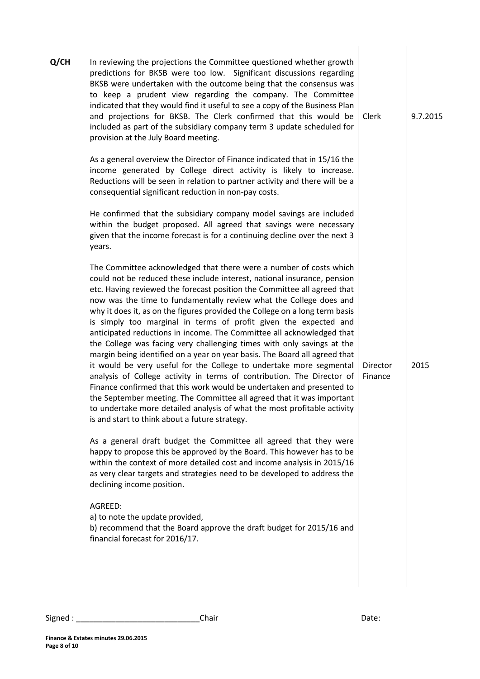| Q/CH | In reviewing the projections the Committee questioned whether growth<br>predictions for BKSB were too low. Significant discussions regarding<br>BKSB were undertaken with the outcome being that the consensus was<br>to keep a prudent view regarding the company. The Committee<br>indicated that they would find it useful to see a copy of the Business Plan<br>and projections for BKSB. The Clerk confirmed that this would be<br>included as part of the subsidiary company term 3 update scheduled for<br>provision at the July Board meeting.                                                                                                                                                                                                                                                                                                                                                                                                                                                                                                                                                                | Clerk               | 9.7.2015 |
|------|-----------------------------------------------------------------------------------------------------------------------------------------------------------------------------------------------------------------------------------------------------------------------------------------------------------------------------------------------------------------------------------------------------------------------------------------------------------------------------------------------------------------------------------------------------------------------------------------------------------------------------------------------------------------------------------------------------------------------------------------------------------------------------------------------------------------------------------------------------------------------------------------------------------------------------------------------------------------------------------------------------------------------------------------------------------------------------------------------------------------------|---------------------|----------|
|      | As a general overview the Director of Finance indicated that in 15/16 the<br>income generated by College direct activity is likely to increase.<br>Reductions will be seen in relation to partner activity and there will be a<br>consequential significant reduction in non-pay costs.                                                                                                                                                                                                                                                                                                                                                                                                                                                                                                                                                                                                                                                                                                                                                                                                                               |                     |          |
|      | He confirmed that the subsidiary company model savings are included<br>within the budget proposed. All agreed that savings were necessary<br>given that the income forecast is for a continuing decline over the next 3<br>years.                                                                                                                                                                                                                                                                                                                                                                                                                                                                                                                                                                                                                                                                                                                                                                                                                                                                                     |                     |          |
|      | The Committee acknowledged that there were a number of costs which<br>could not be reduced these include interest, national insurance, pension<br>etc. Having reviewed the forecast position the Committee all agreed that<br>now was the time to fundamentally review what the College does and<br>why it does it, as on the figures provided the College on a long term basis<br>is simply too marginal in terms of profit given the expected and<br>anticipated reductions in income. The Committee all acknowledged that<br>the College was facing very challenging times with only savings at the<br>margin being identified on a year on year basis. The Board all agreed that<br>it would be very useful for the College to undertake more segmental<br>analysis of College activity in terms of contribution. The Director of<br>Finance confirmed that this work would be undertaken and presented to<br>the September meeting. The Committee all agreed that it was important<br>to undertake more detailed analysis of what the most profitable activity<br>is and start to think about a future strategy. | Director<br>Finance | 2015     |
|      | As a general draft budget the Committee all agreed that they were<br>happy to propose this be approved by the Board. This however has to be<br>within the context of more detailed cost and income analysis in 2015/16<br>as very clear targets and strategies need to be developed to address the<br>declining income position.                                                                                                                                                                                                                                                                                                                                                                                                                                                                                                                                                                                                                                                                                                                                                                                      |                     |          |
|      | AGREED:<br>a) to note the update provided,<br>b) recommend that the Board approve the draft budget for 2015/16 and<br>financial forecast for 2016/17.                                                                                                                                                                                                                                                                                                                                                                                                                                                                                                                                                                                                                                                                                                                                                                                                                                                                                                                                                                 |                     |          |
|      |                                                                                                                                                                                                                                                                                                                                                                                                                                                                                                                                                                                                                                                                                                                                                                                                                                                                                                                                                                                                                                                                                                                       |                     |          |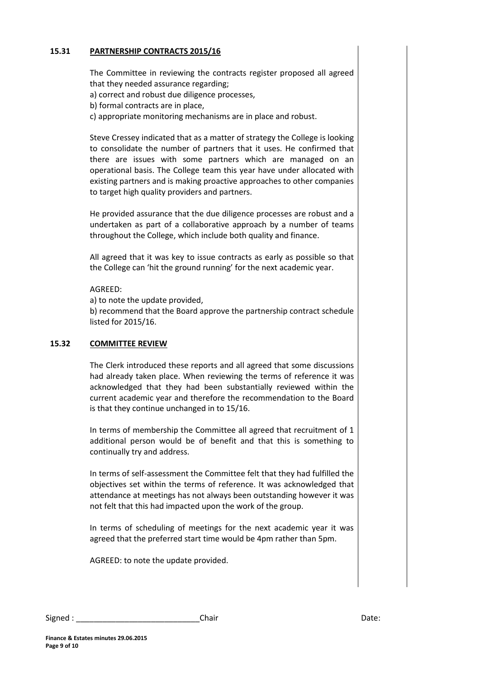## **15.31 PARTNERSHIP CONTRACTS 2015/16**

The Committee in reviewing the contracts register proposed all agreed that they needed assurance regarding;

a) correct and robust due diligence processes,

b) formal contracts are in place,

c) appropriate monitoring mechanisms are in place and robust.

Steve Cressey indicated that as a matter of strategy the College is looking to consolidate the number of partners that it uses. He confirmed that there are issues with some partners which are managed on an operational basis. The College team this year have under allocated with existing partners and is making proactive approaches to other companies to target high quality providers and partners.

He provided assurance that the due diligence processes are robust and a undertaken as part of a collaborative approach by a number of teams throughout the College, which include both quality and finance.

All agreed that it was key to issue contracts as early as possible so that the College can 'hit the ground running' for the next academic year.

#### AGREED:

a) to note the update provided,

b) recommend that the Board approve the partnership contract schedule listed for 2015/16.

## **15.32 COMMITTEE REVIEW**

The Clerk introduced these reports and all agreed that some discussions had already taken place. When reviewing the terms of reference it was acknowledged that they had been substantially reviewed within the current academic year and therefore the recommendation to the Board is that they continue unchanged in to 15/16.

In terms of membership the Committee all agreed that recruitment of 1 additional person would be of benefit and that this is something to continually try and address.

In terms of self-assessment the Committee felt that they had fulfilled the objectives set within the terms of reference. It was acknowledged that attendance at meetings has not always been outstanding however it was not felt that this had impacted upon the work of the group.

In terms of scheduling of meetings for the next academic year it was agreed that the preferred start time would be 4pm rather than 5pm.

AGREED: to note the update provided.

| Signed | Chair | ,,,,,,<br>Dale. |
|--------|-------|-----------------|
|        |       |                 |